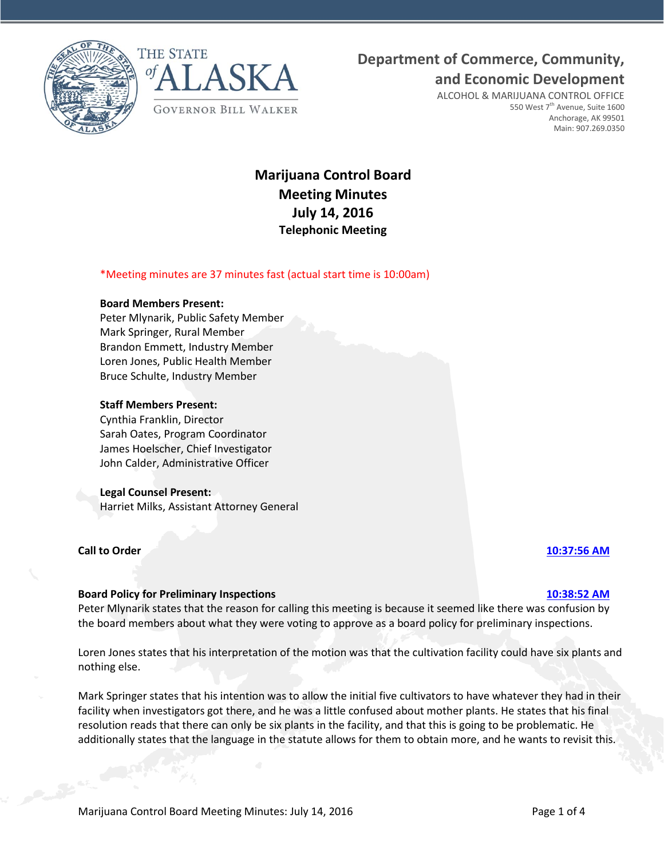



# **Department of Commerce, Community,**

**and Economic Development**

ALCOHOL & MARIJUANA CONTROL OFFICE 550 West 7<sup>th</sup> Avenue, Suite 1600 Anchorage, AK 99501 Main: 907.269.0350

# **Marijuana Control Board Meeting Minutes July 14, 2016 Telephonic Meeting**

# \*Meeting minutes are 37 minutes fast (actual start time is 10:00am)

## **Board Members Present:**

Peter Mlynarik, Public Safety Member Mark Springer, Rural Member Brandon Emmett, Industry Member Loren Jones, Public Health Member Bruce Schulte, Industry Member

## **Staff Members Present:**

Cynthia Franklin, Director Sarah Oates, Program Coordinator James Hoelscher, Chief Investigator John Calder, Administrative Officer

### **Legal Counsel Present:**

Harriet Milks, Assistant Attorney General

# **Call to Order [10:37:56 AM](ftr://?location="ABC Board"?date="14-Jul-2016"?position="10:37:56"?Data="ca6fb150")**

### **Board Policy for Preliminary Inspections [10:38:52 AM](ftr://?location="ABC Board"?date="14-Jul-2016"?position="10:38:52"?Data="b4067d8a")**

Peter Mlynarik states that the reason for calling this meeting is because it seemed like there was confusion by the board members about what they were voting to approve as a board policy for preliminary inspections.

Loren Jones states that his interpretation of the motion was that the cultivation facility could have six plants and nothing else.

Mark Springer states that his intention was to allow the initial five cultivators to have whatever they had in their facility when investigators got there, and he was a little confused about mother plants. He states that his final resolution reads that there can only be six plants in the facility, and that this is going to be problematic. He additionally states that the language in the statute allows for them to obtain more, and he wants to revisit this.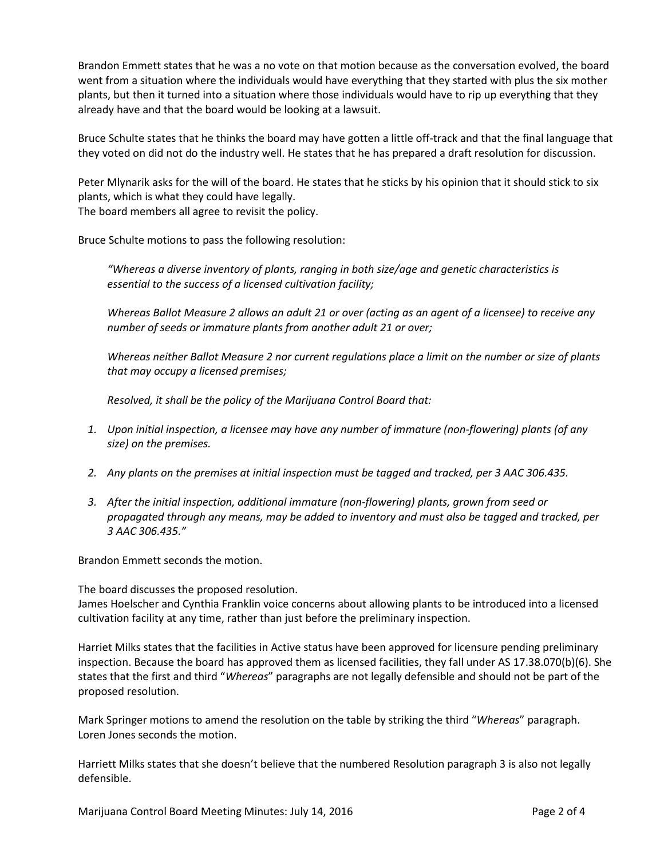Brandon Emmett states that he was a no vote on that motion because as the conversation evolved, the board went from a situation where the individuals would have everything that they started with plus the six mother plants, but then it turned into a situation where those individuals would have to rip up everything that they already have and that the board would be looking at a lawsuit.

Bruce Schulte states that he thinks the board may have gotten a little off-track and that the final language that they voted on did not do the industry well. He states that he has prepared a draft resolution for discussion.

Peter Mlynarik asks for the will of the board. He states that he sticks by his opinion that it should stick to six plants, which is what they could have legally.

The board members all agree to revisit the policy.

Bruce Schulte motions to pass the following resolution:

*"Whereas a diverse inventory of plants, ranging in both size/age and genetic characteristics is essential to the success of a licensed cultivation facility;*

*Whereas Ballot Measure 2 allows an adult 21 or over (acting as an agent of a licensee) to receive any number of seeds or immature plants from another adult 21 or over;*

*Whereas neither Ballot Measure 2 nor current regulations place a limit on the number or size of plants that may occupy a licensed premises;*

*Resolved, it shall be the policy of the Marijuana Control Board that:*

- *1. Upon initial inspection, a licensee may have any number of immature (non-flowering) plants (of any size) on the premises.*
- *2. Any plants on the premises at initial inspection must be tagged and tracked, per 3 AAC 306.435.*
- *3. After the initial inspection, additional immature (non-flowering) plants, grown from seed or propagated through any means, may be added to inventory and must also be tagged and tracked, per 3 AAC 306.435."*

Brandon Emmett seconds the motion.

The board discusses the proposed resolution.

James Hoelscher and Cynthia Franklin voice concerns about allowing plants to be introduced into a licensed cultivation facility at any time, rather than just before the preliminary inspection.

Harriet Milks states that the facilities in Active status have been approved for licensure pending preliminary inspection. Because the board has approved them as licensed facilities, they fall under AS 17.38.070(b)(6). She states that the first and third "*Whereas*" paragraphs are not legally defensible and should not be part of the proposed resolution.

Mark Springer motions to amend the resolution on the table by striking the third "*Whereas*" paragraph. Loren Jones seconds the motion.

Harriett Milks states that she doesn't believe that the numbered Resolution paragraph 3 is also not legally defensible.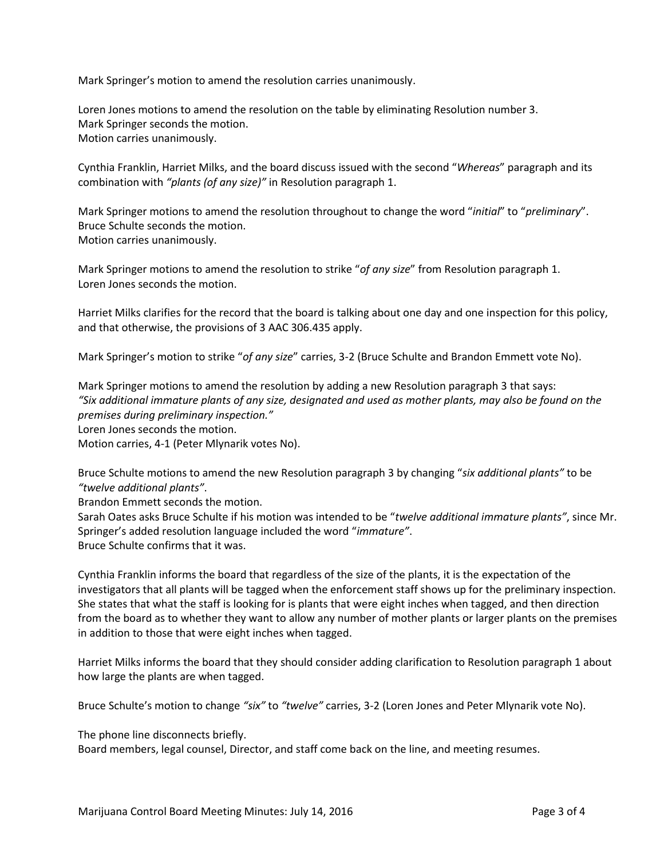Mark Springer's motion to amend the resolution carries unanimously.

Loren Jones motions to amend the resolution on the table by eliminating Resolution number 3. Mark Springer seconds the motion. Motion carries unanimously.

Cynthia Franklin, Harriet Milks, and the board discuss issued with the second "*Whereas*" paragraph and its combination with *"plants (of any size)"* in Resolution paragraph 1.

Mark Springer motions to amend the resolution throughout to change the word "*initial*" to "*preliminary*". Bruce Schulte seconds the motion. Motion carries unanimously.

Mark Springer motions to amend the resolution to strike "*of any size*" from Resolution paragraph 1. Loren Jones seconds the motion.

Harriet Milks clarifies for the record that the board is talking about one day and one inspection for this policy, and that otherwise, the provisions of 3 AAC 306.435 apply.

Mark Springer's motion to strike "*of any size*" carries, 3-2 (Bruce Schulte and Brandon Emmett vote No).

Mark Springer motions to amend the resolution by adding a new Resolution paragraph 3 that says: *"Six additional immature plants of any size, designated and used as mother plants, may also be found on the premises during preliminary inspection."* Loren Jones seconds the motion.

Motion carries, 4-1 (Peter Mlynarik votes No).

Bruce Schulte motions to amend the new Resolution paragraph 3 by changing "*six additional plants"* to be *"twelve additional plants"*.

Brandon Emmett seconds the motion.

Sarah Oates asks Bruce Schulte if his motion was intended to be "*twelve additional immature plants"*, since Mr. Springer's added resolution language included the word "*immature"*. Bruce Schulte confirms that it was.

Cynthia Franklin informs the board that regardless of the size of the plants, it is the expectation of the investigators that all plants will be tagged when the enforcement staff shows up for the preliminary inspection. She states that what the staff is looking for is plants that were eight inches when tagged, and then direction from the board as to whether they want to allow any number of mother plants or larger plants on the premises in addition to those that were eight inches when tagged.

Harriet Milks informs the board that they should consider adding clarification to Resolution paragraph 1 about how large the plants are when tagged.

Bruce Schulte's motion to change *"six"* to *"twelve"* carries, 3-2 (Loren Jones and Peter Mlynarik vote No).

The phone line disconnects briefly.

Board members, legal counsel, Director, and staff come back on the line, and meeting resumes.